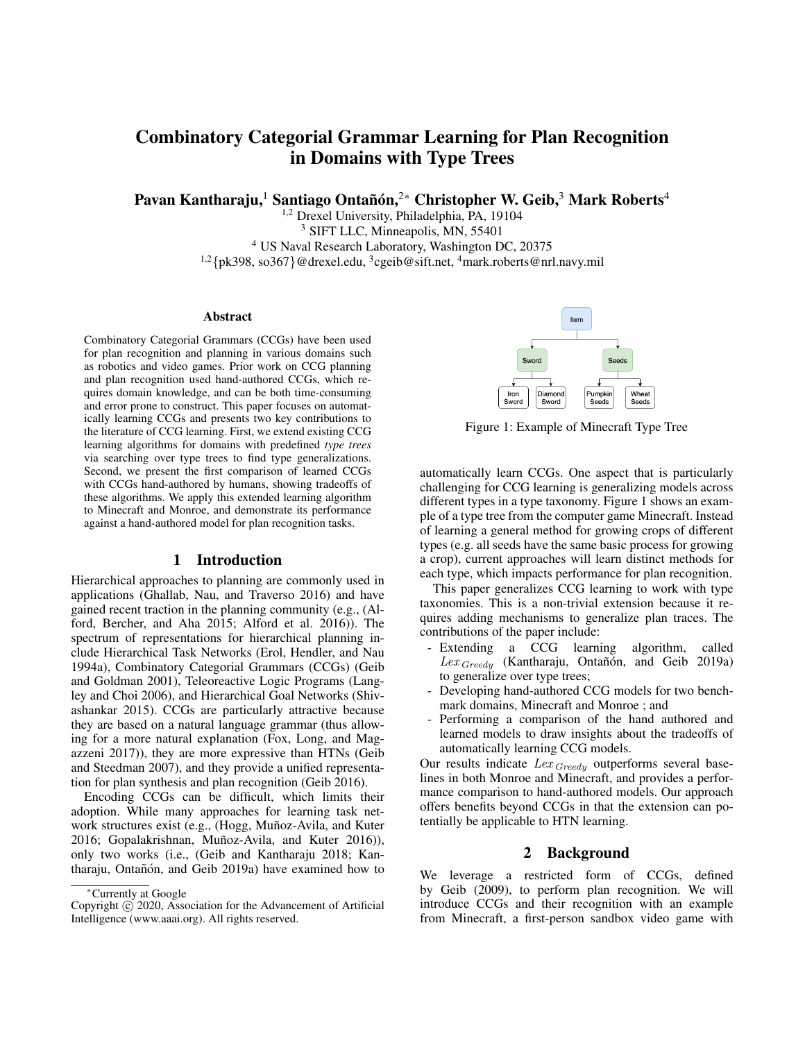# Combinatory Categorial Grammar Learning for Plan Recognition in Domains with Type Trees

Pavan Kantharaju, $^1$  Santiago Ontañón, $^{2*}$  Christopher W. Geib, $^3$  Mark Roberts $^4$ 

<sup>1,2</sup> Drexel University, Philadelphia, PA, 19104

<sup>3</sup> SIFT LLC, Minneapolis, MN, 55401

<sup>4</sup> US Naval Research Laboratory, Washington DC, 20375

<sup>1,2</sup>{pk398, so367}@drexel.edu, <sup>3</sup>cgeib@sift.net, <sup>4</sup>mark.roberts@nrl.navy.mil

#### **Abstract**

Combinatory Categorial Grammars (CCGs) have been used for plan recognition and planning in various domains such as robotics and video games. Prior work on CCG planning and plan recognition used hand-authored CCGs, which requires domain knowledge, and can be both time-consuming and error prone to construct. This paper focuses on automatically learning CCGs and presents two key contributions to the literature of CCG learning. First, we extend existing CCG learning algorithms for domains with predefined *type trees* via searching over type trees to find type generalizations. Second, we present the first comparison of learned CCGs with CCGs hand-authored by humans, showing tradeoffs of these algorithms. We apply this extended learning algorithm to Minecraft and Monroe, and demonstrate its performance against a hand-authored model for plan recognition tasks.

# 1 Introduction

Hierarchical approaches to planning are commonly used in applications (Ghallab, Nau, and Traverso 2016) and have gained recent traction in the planning community (e.g., (Alford, Bercher, and Aha 2015; Alford et al. 2016)). The spectrum of representations for hierarchical planning include Hierarchical Task Networks (Erol, Hendler, and Nau 1994a), Combinatory Categorial Grammars (CCGs) (Geib and Goldman 2001), Teleoreactive Logic Programs (Langley and Choi 2006), and Hierarchical Goal Networks (Shivashankar 2015). CCGs are particularly attractive because they are based on a natural language grammar (thus allowing for a more natural explanation (Fox, Long, and Magazzeni 2017)), they are more expressive than HTNs (Geib and Steedman 2007), and they provide a unified representation for plan synthesis and plan recognition (Geib 2016).

Encoding CCGs can be difficult, which limits their adoption. While many approaches for learning task network structures exist (e.g., (Hogg, Muñoz-Avila, and Kuter 2016; Gopalakrishnan, Muñoz-Avila, and Kuter 2016)), only two works (i.e., (Geib and Kantharaju 2018; Kantharaju, Ontañón, and Geib 2019a) have examined how to



Figure 1: Example of Minecraft Type Tree

automatically learn CCGs. One aspect that is particularly challenging for CCG learning is generalizing models across different types in a type taxonomy. Figure 1 shows an example of a type tree from the computer game Minecraft. Instead of learning a general method for growing crops of different types (e.g. all seeds have the same basic process for growing a crop), current approaches will learn distinct methods for each type, which impacts performance for plan recognition.

This paper generalizes CCG learning to work with type taxonomies. This is a non-trivial extension because it requires adding mechanisms to generalize plan traces. The contributions of the paper include:

- Extending a CCG learning algorithm, called  $Lex_{Greedy}$  (Kantharaju, Ontañón, and Geib 2019a) to generalize over type trees;
- Developing hand-authored CCG models for two benchmark domains, Minecraft and Monroe ; and
- Performing a comparison of the hand authored and learned models to draw insights about the tradeoffs of automatically learning CCG models.

Our results indicate  $Lex_{Greedy}$  outperforms several baselines in both Monroe and Minecraft, and provides a performance comparison to hand-authored models. Our approach offers benefits beyond CCGs in that the extension can potentially be applicable to HTN learning.

#### 2 Background

We leverage a restricted form of CCGs, defined by Geib (2009), to perform plan recognition. We will introduce CCGs and their recognition with an example from Minecraft, a first-person sandbox video game with

<sup>∗</sup>Currently at Google

Copyright  $\odot$  2020, Association for the Advancement of Artificial Intelligence (www.aaai.org). All rights reserved.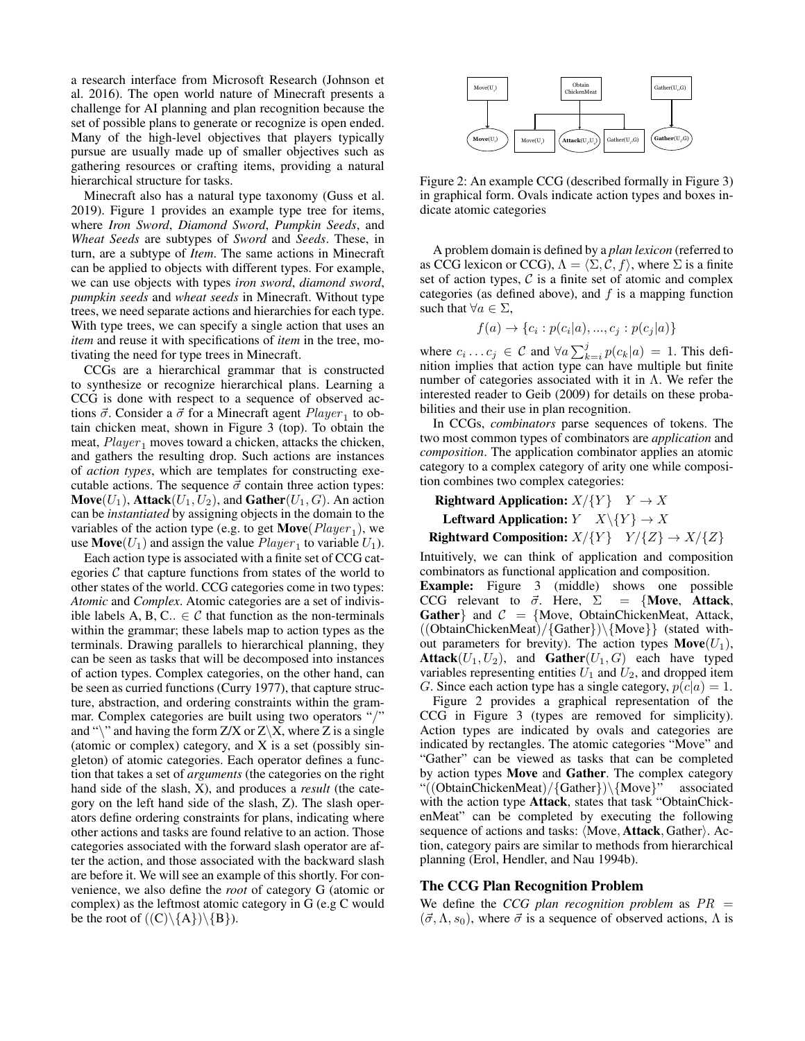a research interface from Microsoft Research (Johnson et al. 2016). The open world nature of Minecraft presents a challenge for AI planning and plan recognition because the set of possible plans to generate or recognize is open ended. Many of the high-level objectives that players typically pursue are usually made up of smaller objectives such as gathering resources or crafting items, providing a natural hierarchical structure for tasks.

Minecraft also has a natural type taxonomy (Guss et al. 2019). Figure 1 provides an example type tree for items, where *Iron Sword*, *Diamond Sword*, *Pumpkin Seeds*, and *Wheat Seeds* are subtypes of *Sword* and *Seeds*. These, in turn, are a subtype of *Item*. The same actions in Minecraft can be applied to objects with different types. For example, we can use objects with types *iron sword*, *diamond sword*, *pumpkin seeds* and *wheat seeds* in Minecraft. Without type trees, we need separate actions and hierarchies for each type. With type trees, we can specify a single action that uses an *item* and reuse it with specifications of *item* in the tree, motivating the need for type trees in Minecraft.

CCGs are a hierarchical grammar that is constructed to synthesize or recognize hierarchical plans. Learning a CCG is done with respect to a sequence of observed actions  $\vec{\sigma}$ . Consider a  $\vec{\sigma}$  for a Minecraft agent  $Player_1$  to obtain chicken meat, shown in Figure 3 (top). To obtain the meat,  $Player_1$  moves toward a chicken, attacks the chicken, and gathers the resulting drop. Such actions are instances of *action types*, which are templates for constructing executable actions. The sequence  $\vec{\sigma}$  contain three action types: **Move**( $U_1$ ), **Attack**( $U_1, U_2$ ), and **Gather**( $U_1, G$ ). An action can be *instantiated* by assigning objects in the domain to the variables of the action type (e.g. to get  $Move(Player_1)$ , we use **Move**( $U_1$ ) and assign the value  $Player_1$  to variable  $U_1$ ).

Each action type is associated with a finite set of CCG categories  $C$  that capture functions from states of the world to other states of the world. CCG categories come in two types: *Atomic* and *Complex*. Atomic categories are a set of indivisible labels A, B, C..  $\in \mathcal{C}$  that function as the non-terminals within the grammar; these labels map to action types as the terminals. Drawing parallels to hierarchical planning, they can be seen as tasks that will be decomposed into instances of action types. Complex categories, on the other hand, can be seen as curried functions (Curry 1977), that capture structure, abstraction, and ordering constraints within the grammar. Complex categories are built using two operators "/" and " $\mathcal{C}$ " and having the form Z/X or Z $\mathcal{X}$ , where Z is a single (atomic or complex) category, and X is a set (possibly singleton) of atomic categories. Each operator defines a function that takes a set of *arguments* (the categories on the right hand side of the slash, X), and produces a *result* (the category on the left hand side of the slash, Z). The slash operators define ordering constraints for plans, indicating where other actions and tasks are found relative to an action. Those categories associated with the forward slash operator are after the action, and those associated with the backward slash are before it. We will see an example of this shortly. For convenience, we also define the *root* of category G (atomic or complex) as the leftmost atomic category in G (e.g C would be the root of  $((C)\{A\})\{B\}$ .



Figure 2: An example CCG (described formally in Figure 3) in graphical form. Ovals indicate action types and boxes indicate atomic categories

A problem domain is defined by a *plan lexicon* (referred to as CCG lexicon or CCG),  $\Lambda = \langle \Sigma, C, f \rangle$ , where  $\Sigma$  is a finite set of action types,  $C$  is a finite set of atomic and complex categories (as defined above), and  $f$  is a mapping function such that  $\forall a \in \Sigma$ ,

$$
f(a) \rightarrow \{c_i : p(c_i|a), ..., c_j : p(c_j|a)\}\
$$

where  $c_i \dots c_j \in \mathcal{C}$  and  $\forall a \sum_{k=i}^j p(c_k|a) = 1$ . This definition implies that action type can have multiple but finite number of categories associated with it in  $\Lambda$ . We refer the interested reader to Geib (2009) for details on these probabilities and their use in plan recognition.

In CCGs, *combinators* parse sequences of tokens. The two most common types of combinators are *application* and *composition*. The application combinator applies an atomic category to a complex category of arity one while composition combines two complex categories:

Rightward Application:  $X/\{Y\}$   $Y \to X$ Leftward Application:  $Y$   $X\backslash\{Y\} \rightarrow X$ 

Rightward Composition:  $X/\{Y\}$   $Y/\{Z\} \rightarrow X/\{Z\}$ 

Intuitively, we can think of application and composition combinators as functional application and composition. Example: Figure 3 (middle) shows one possible CCG relevant to  $\vec{\sigma}$ . Here,  $\Sigma = \{Move, Attack,$ Gather and  $C = \{Move, ObtainChickenMeat, Attack,$ ((ObtainChickenMeat)/{Gather})\{Move}} (stated without parameters for brevity). The action types  $\text{Move}(U_1)$ , **Attack**( $U_1, U_2$ ), and **Gather**( $U_1, G$ ) each have typed variables representing entities  $U_1$  and  $U_2$ , and dropped item G. Since each action type has a single category,  $p(c|a) = 1$ .

Figure 2 provides a graphical representation of the CCG in Figure 3 (types are removed for simplicity). Action types are indicated by ovals and categories are indicated by rectangles. The atomic categories "Move" and "Gather" can be viewed as tasks that can be completed by action types Move and Gather. The complex category "((ObtainChickenMeat)/{Gather})\{Move}" associated with the action type Attack, states that task "ObtainChickenMeat" can be completed by executing the following sequence of actions and tasks:  $\langle Move, Attack, Gather \rangle$ . Action, category pairs are similar to methods from hierarchical planning (Erol, Hendler, and Nau 1994b).

# The CCG Plan Recognition Problem

We define the *CCG plan recognition problem* as  $PR =$  $({\vec{\sigma}}, \Lambda, s_0)$ , where  ${\vec{\sigma}}$  is a sequence of observed actions,  $\Lambda$  is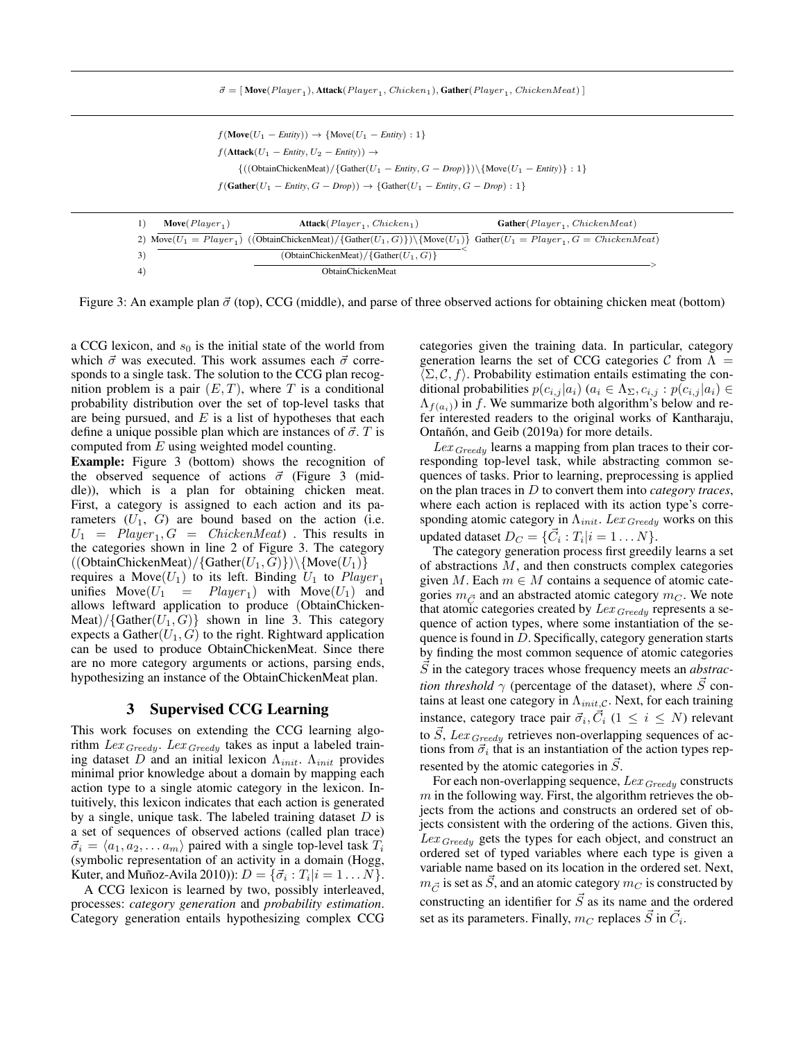$\vec{\sigma} = [\text{Move}(Player_1), \text{Attack}(Player_1, \text{Chicago}), \text{Gather}(Player_1, \text{Chicago})]$ 

 $f(\text{Move}(U_1 - \text{Entity})) \rightarrow \{\text{Move}(U_1 - \text{Entity}) : 1\}$  $f(\text{Attack}(U_1 - \text{Entity}, U_2 - \text{Entity})) \rightarrow$  $\{((ObtainChickenMeat)/\{Gather(U_1 - Entity, G - Drop)\})\setminus \{Move(U_1 - Entity)\} : 1\}$  $f(\text{Gather}(U_1 - \text{Entity}, G - \text{Drop})) \rightarrow \{\text{Gather}(U_1 - \text{Entity}, G - \text{Drop}) : 1\}$ 

| $Move(Player_1)$ | $\textbf{Attack}(Player_1, Chicken_1)$                                                                                            | $Gather(Player_1, ChickenMeat)$ |
|------------------|-----------------------------------------------------------------------------------------------------------------------------------|---------------------------------|
|                  | 2) Move $(U_1 = Player_1)$ ((ObtainChickenMeat)/{Gather $(U_1, G)$ }) {Move $(U_1)$ } Gather $(U_1 = Player_1, G = ChoiceenMean)$ |                                 |
|                  | (ObtainChickenMeat)/{Gather $(U_1, G)$ }                                                                                          |                                 |
|                  | <b>ObtainChickenMeat</b>                                                                                                          |                                 |

Figure 3: An example plan  $\vec{\sigma}$  (top), CCG (middle), and parse of three observed actions for obtaining chicken meat (bottom)

a CCG lexicon, and  $s_0$  is the initial state of the world from which  $\vec{\sigma}$  was executed. This work assumes each  $\vec{\sigma}$  corresponds to a single task. The solution to the CCG plan recognition problem is a pair  $(E, T)$ , where T is a conditional probability distribution over the set of top-level tasks that are being pursued, and  $E$  is a list of hypotheses that each define a unique possible plan which are instances of  $\vec{\sigma}$ . T is computed from E using weighted model counting.

Example: Figure 3 (bottom) shows the recognition of the observed sequence of actions  $\vec{\sigma}$  (Figure 3 (middle)), which is a plan for obtaining chicken meat. First, a category is assigned to each action and its parameters  $(U_1, G)$  are bound based on the action (i.e.  $U_1$  =  $Player_1, G$  =  $ChickenMeat)$ . This results in the categories shown in line 2 of Figure 3. The category  $((ObtainChickenMeat)/{Gather(U_1, G)})\backslash{Move(U_1)}$ requires a Move $(U_1)$  to its left. Binding  $U_1$  to  $Player_1$ unifies  $Move(U_1 = Player_1)$  with  $Move(U_1)$  and allows leftward application to produce (ObtainChicken-Meat)/{Gather $(U_1, G)$ } shown in line 3. This category expects a Gather $(U_1, G)$  to the right. Rightward application can be used to produce ObtainChickenMeat. Since there are no more category arguments or actions, parsing ends, hypothesizing an instance of the ObtainChickenMeat plan.

### 3 Supervised CCG Learning

This work focuses on extending the CCG learning algorithm  $Lex_{Greedy}$ . Lex  $Greedy$  takes as input a labeled training dataset D and an initial lexicon  $\Lambda_{init}$ .  $\Lambda_{init}$  provides minimal prior knowledge about a domain by mapping each action type to a single atomic category in the lexicon. Intuitively, this lexicon indicates that each action is generated by a single, unique task. The labeled training dataset  $D$  is a set of sequences of observed actions (called plan trace)  $\vec{\sigma}_i = \langle a_1, a_2, \dots a_m \rangle$  paired with a single top-level task  $T_i$ (symbolic representation of an activity in a domain (Hogg, Kuter, and Muñoz-Avila 2010)):  $D = {\vec{\sigma}_i : T_i | i = 1 \dots N}$ .

A CCG lexicon is learned by two, possibly interleaved, processes: *category generation* and *probability estimation*. Category generation entails hypothesizing complex CCG categories given the training data. In particular, category generation learns the set of CCG categories C from  $\Lambda =$  $\langle \Sigma, C, f \rangle$ . Probability estimation entails estimating the conditional probabilities  $p(c_{i,j} | a_i)$   $(a_i \in \Lambda_\Sigma, c_{i,j} : p(c_{i,j} | a_i) \in$  $\Lambda_{f(a_i)}$ ) in f. We summarize both algorithm's below and refer interested readers to the original works of Kantharaju, Ontañón, and Geib (2019a) for more details.

 $Lex_{Greedy}$  learns a mapping from plan traces to their corresponding top-level task, while abstracting common sequences of tasks. Prior to learning, preprocessing is applied on the plan traces in D to convert them into *category traces*, where each action is replaced with its action type's corresponding atomic category in  $\Lambda_{init}$ . Lex  $Greedy$  works on this updated dataset  $D_C = \{\vec{C}_i : T_i | i = 1 \dots N\}.$ 

The category generation process first greedily learns a set of abstractions M, and then constructs complex categories given M. Each  $m \in M$  contains a sequence of atomic categories  $m_{\vec{C}}$  and an abstracted atomic category  $m_C$ . We note that atomic categories created by  $Lex_{Greedy}$  represents a sequence of action types, where some instantiation of the sequence is found in  $D$ . Specifically, category generation starts by finding the most common sequence of atomic categories  $\vec{S}$  in the category traces whose frequency meets an *abstraction threshold*  $\gamma$  (percentage of the dataset), where  $\vec{S}$  contains at least one category in  $\Lambda_{init, \mathcal{C}}$ . Next, for each training instance, category trace pair  $\vec{\sigma}_i, \vec{C}_i$  ( $1 \leq i \leq N$ ) relevant to  $\vec{S}$ , Lex <sub>Greedy</sub> retrieves non-overlapping sequences of actions from  $\vec{\sigma}_i$  that is an instantiation of the action types represented by the atomic categories in  $S$ .

For each non-overlapping sequence,  $Lex_{Greedy}$  constructs  $m$  in the following way. First, the algorithm retrieves the objects from the actions and constructs an ordered set of objects consistent with the ordering of the actions. Given this,  $Lex_{Greedy}$  gets the types for each object, and construct an ordered set of typed variables where each type is given a variable name based on its location in the ordered set. Next,  $m_{\vec{C}}$  is set as  $\vec{S}$ , and an atomic category  $m_{\vec{C}}$  is constructed by constructing an identifier for  $\vec{S}$  as its name and the ordered set as its parameters. Finally,  $m_C$  replaces  $\vec{S}$  in  $\vec{C}_i$ .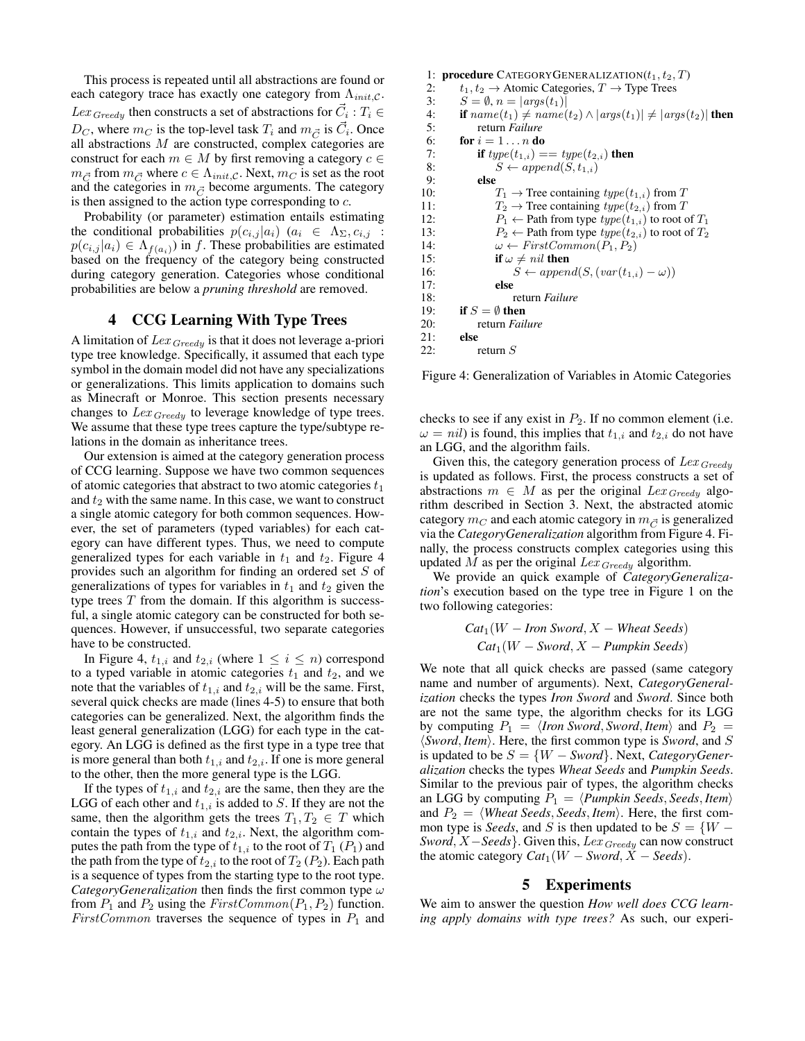This process is repeated until all abstractions are found or each category trace has exactly one category from  $\Lambda_{init,C}$ .  $Lex_{Greedy}$  then constructs a set of abstractions for  $\vec{C}_i : T_i \in$  $D_C$ , where  $m_C$  is the top-level task  $T_i$  and  $m_{\vec{C}}$  is  $\vec{C}_i$ . Once all abstractions M are constructed, complex categories are construct for each  $m \in M$  by first removing a category  $c \in$  $m_{\vec{C}}$  from  $m_{\vec{C}}$  where  $c \in \Lambda_{init,c}$ . Next,  $m_C$  is set as the root and the categories in  $m_{\vec{C}}$  become arguments. The category is then assigned to the action type corresponding to  $c$ .

Probability (or parameter) estimation entails estimating the conditional probabilities  $p(c_{i,j} | a_i)$   $(a_i \in \Lambda_{\Sigma}, c_{i,j} :$  $p(c_{i,j} | a_i) \in \Lambda_{f(a_i)}$ ) in f. These probabilities are estimated based on the frequency of the category being constructed during category generation. Categories whose conditional probabilities are below a *pruning threshold* are removed.

# 4 CCG Learning With Type Trees

A limitation of  $Lex_{Greedy}$  is that it does not leverage a-priori type tree knowledge. Specifically, it assumed that each type symbol in the domain model did not have any specializations or generalizations. This limits application to domains such as Minecraft or Monroe. This section presents necessary changes to  $Lex_{Greedy}$  to leverage knowledge of type trees. We assume that these type trees capture the type/subtype relations in the domain as inheritance trees.

Our extension is aimed at the category generation process of CCG learning. Suppose we have two common sequences of atomic categories that abstract to two atomic categories  $t_1$ and  $t_2$  with the same name. In this case, we want to construct a single atomic category for both common sequences. However, the set of parameters (typed variables) for each category can have different types. Thus, we need to compute generalized types for each variable in  $t_1$  and  $t_2$ . Figure 4 provides such an algorithm for finding an ordered set S of generalizations of types for variables in  $t_1$  and  $t_2$  given the type trees  $T$  from the domain. If this algorithm is successful, a single atomic category can be constructed for both sequences. However, if unsuccessful, two separate categories have to be constructed.

In Figure 4,  $t_{1,i}$  and  $t_{2,i}$  (where  $1 \leq i \leq n$ ) correspond to a typed variable in atomic categories  $t_1$  and  $t_2$ , and we note that the variables of  $t_{1,i}$  and  $t_{2,i}$  will be the same. First, several quick checks are made (lines 4-5) to ensure that both categories can be generalized. Next, the algorithm finds the least general generalization (LGG) for each type in the category. An LGG is defined as the first type in a type tree that is more general than both  $t_{1,i}$  and  $t_{2,i}$ . If one is more general to the other, then the more general type is the LGG.

If the types of  $t_{1,i}$  and  $t_{2,i}$  are the same, then they are the LGG of each other and  $t_{1,i}$  is added to S. If they are not the same, then the algorithm gets the trees  $T_1, T_2 \in T$  which contain the types of  $t_{1,i}$  and  $t_{2,i}$ . Next, the algorithm computes the path from the type of  $t_{1,i}$  to the root of  $T_1$  ( $P_1$ ) and the path from the type of  $t_{2,i}$  to the root of  $T_2$  ( $P_2$ ). Each path is a sequence of types from the starting type to the root type. *CategoryGeneralization* then finds the first common type ω from  $P_1$  and  $P_2$  using the  $FirstCommon(P_1, P_2)$  function. FirstCommon traverses the sequence of types in  $P_1$  and

```
1: procedure CATEGORYGENERALIZATION(t_1, t_2, T)<br>
\rightarrow t_1, t_2 \rightarrow Atomic Categories T \rightarrow Type Trees
 2: t_1, t_2 \rightarrow Atomic Categories, T \rightarrow Type Trees<br>3: S = \emptyset, n = |args(t_1)|3: S = \emptyset, n = |args(t_1)|<br>4: if name(t_1) \neq name4: if name(t_1) \neq name(t_2) \land |args(t_1)| \neq |args(t_2)| then<br>5: contract return Failure
                5: return Failure
 6: for i = 1...n do<br>7: if type(t_{1,i}) =7: if type(t_{1,i}) == type(t_{2,i}) then<br>8: S \leftarrow append(S, t_{1,i})8: S \leftarrow append(S, t_{1,i})<br>9: else
                else
10: T_1 \rightarrow Tree containing type(t_{1,i}) from T
11: T_2 \rightarrow Tree containing type(t_{2,i}) from T<br>12: P_1 \leftarrow Path from type type(t_{1,i}) to root o
                      P_1 \leftarrow Path from type type(t_{1,i}) to root of T_113: P_2 \leftarrow Path from type type(t_{2,i}) to root of T_214: \omega \leftarrow FirstCommon(P_1, P_2)<br>15: if \omega \neq nil then
                     if \omega \neq nil then
16: S \leftarrow append(S, (var(t_{1,i}) - \omega))17: else
18: return Failure
19: if S = \emptyset then
20: return Failure
21: else
22: return S
```
Figure 4: Generalization of Variables in Atomic Categories

checks to see if any exist in  $P_2$ . If no common element (i.e.  $\omega = nil$ ) is found, this implies that  $t_{1,i}$  and  $t_{2,i}$  do not have an LGG, and the algorithm fails.

Given this, the category generation process of  $Lex_{Greedy}$ is updated as follows. First, the process constructs a set of abstractions  $m \in M$  as per the original  $Lex_{Greedy}$  algorithm described in Section 3. Next, the abstracted atomic category  $m<sub>C</sub>$  and each atomic category in  $m<sub>C</sub>$  is generalized via the *CategoryGeneralization* algorithm from Figure 4. Finally, the process constructs complex categories using this updated  $M$  as per the original  $Lex_{Greedy}$  algorithm.

We provide an quick example of *CategoryGeneralization*'s execution based on the type tree in Figure 1 on the two following categories:

$$
Cat1(W - Iron Sword, X - Wheat Seeds)
$$
  

$$
Cat1(W - Sword, X - Pumpkin Seeds)
$$

We note that all quick checks are passed (same category name and number of arguments). Next, *CategoryGeneralization* checks the types *Iron Sword* and *Sword*. Since both are not the same type, the algorithm checks for its LGG by computing  $P_1 = \langle$ *Iron Sword*, *Sword*, *Item* $\rangle$  and  $P_2 =$  $\langle$ *Sword*, *Item* $\rangle$ . Here, the first common type is *Sword*, and *S* is updated to be  $S = \{W - Sword\}$ . Next, *CategoryGeneralization* checks the types *Wheat Seeds* and *Pumpkin Seeds*. Similar to the previous pair of types, the algorithm checks an LGG by computing  $P_1 = \langle \textit{Pumpkin Seeds}, \textit{Seeds}, \textit{Item} \rangle$ and  $P_2 = \langle$ *Wheat Seeds*, *Seeds*, *Item* $\rangle$ . Here, the first common type is *Seeds*, and S is then updated to be  $S = \{W - \}$ *Sword*, *X* − *Seeds* }. Given this, Lex <sub>Greedy</sub> can now construct the atomic category  $Cat_1(W - Sword, X - Seeds)$ .

#### 5 Experiments

We aim to answer the question *How well does CCG learning apply domains with type trees?* As such, our experi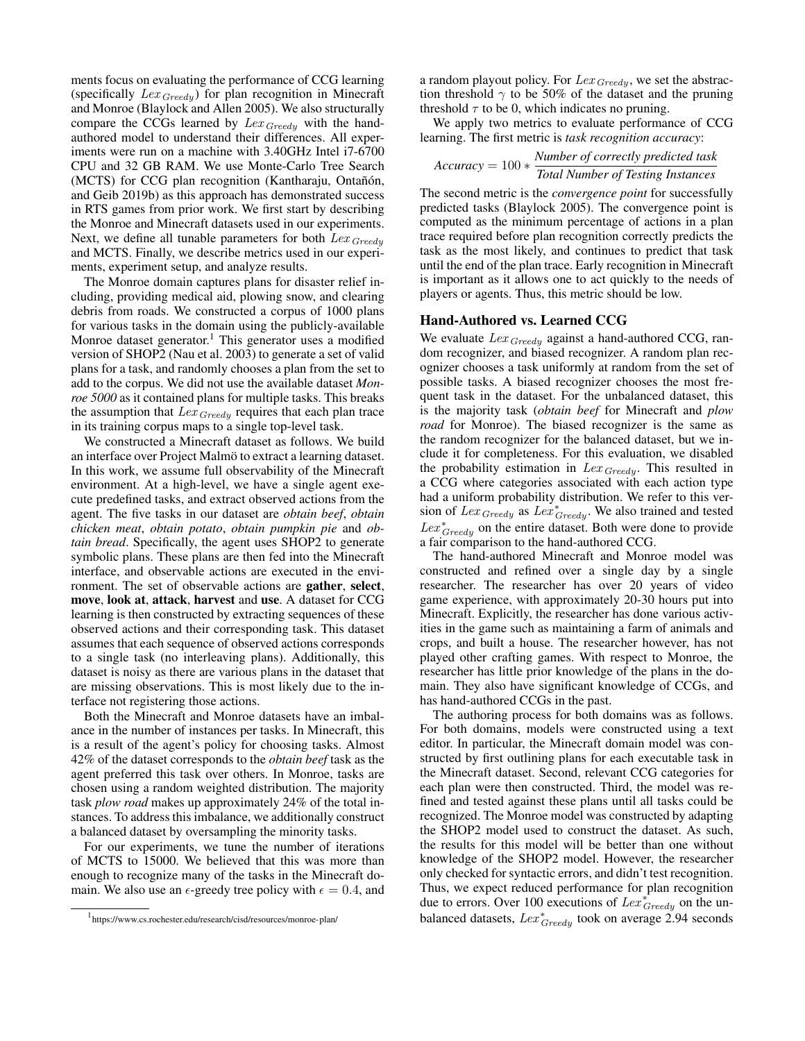ments focus on evaluating the performance of CCG learning (specifically  $Lex_{Greedy}$ ) for plan recognition in Minecraft and Monroe (Blaylock and Allen 2005). We also structurally compare the CCGs learned by  $Lex_{Greedy}$  with the handauthored model to understand their differences. All experiments were run on a machine with 3.40GHz Intel i7-6700 CPU and 32 GB RAM. We use Monte-Carlo Tree Search (MCTS) for CCG plan recognition (Kantharaju, Ontañón, and Geib 2019b) as this approach has demonstrated success in RTS games from prior work. We first start by describing the Monroe and Minecraft datasets used in our experiments. Next, we define all tunable parameters for both  $Lex_{Greedy}$ and MCTS. Finally, we describe metrics used in our experiments, experiment setup, and analyze results.

The Monroe domain captures plans for disaster relief including, providing medical aid, plowing snow, and clearing debris from roads. We constructed a corpus of 1000 plans for various tasks in the domain using the publicly-available Monroe dataset generator.<sup>1</sup> This generator uses a modified version of SHOP2 (Nau et al. 2003) to generate a set of valid plans for a task, and randomly chooses a plan from the set to add to the corpus. We did not use the available dataset *Monroe 5000* as it contained plans for multiple tasks. This breaks the assumption that  $Lex_{Greedy}$  requires that each plan trace in its training corpus maps to a single top-level task.

We constructed a Minecraft dataset as follows. We build an interface over Project Malmö to extract a learning dataset. In this work, we assume full observability of the Minecraft environment. At a high-level, we have a single agent execute predefined tasks, and extract observed actions from the agent. The five tasks in our dataset are *obtain beef*, *obtain chicken meat*, *obtain potato*, *obtain pumpkin pie* and *obtain bread*. Specifically, the agent uses SHOP2 to generate symbolic plans. These plans are then fed into the Minecraft interface, and observable actions are executed in the environment. The set of observable actions are gather, select, move, look at, attack, harvest and use. A dataset for CCG learning is then constructed by extracting sequences of these observed actions and their corresponding task. This dataset assumes that each sequence of observed actions corresponds to a single task (no interleaving plans). Additionally, this dataset is noisy as there are various plans in the dataset that are missing observations. This is most likely due to the interface not registering those actions.

Both the Minecraft and Monroe datasets have an imbalance in the number of instances per tasks. In Minecraft, this is a result of the agent's policy for choosing tasks. Almost 42% of the dataset corresponds to the *obtain beef* task as the agent preferred this task over others. In Monroe, tasks are chosen using a random weighted distribution. The majority task *plow road* makes up approximately 24% of the total instances. To address this imbalance, we additionally construct a balanced dataset by oversampling the minority tasks.

For our experiments, we tune the number of iterations of MCTS to 15000. We believed that this was more than enough to recognize many of the tasks in the Minecraft domain. We also use an  $\epsilon$ -greedy tree policy with  $\epsilon = 0.4$ , and a random playout policy. For  $Lex_{Greedy}$ , we set the abstraction threshold  $\gamma$  to be 50% of the dataset and the pruning threshold  $\tau$  to be 0, which indicates no pruning.

We apply two metrics to evaluate performance of CCG learning. The first metric is *task recognition accuracy*:

$$
Accuracy = 100 * \frac{Number\ of\ correctly\ predicted\ task}{Total\ Number\ of\ Testing\ instances}
$$

The second metric is the *convergence point* for successfully predicted tasks (Blaylock 2005). The convergence point is computed as the minimum percentage of actions in a plan trace required before plan recognition correctly predicts the task as the most likely, and continues to predict that task until the end of the plan trace. Early recognition in Minecraft is important as it allows one to act quickly to the needs of players or agents. Thus, this metric should be low.

#### Hand-Authored vs. Learned CCG

We evaluate  $Lex_{Greedy}$  against a hand-authored CCG, random recognizer, and biased recognizer. A random plan recognizer chooses a task uniformly at random from the set of possible tasks. A biased recognizer chooses the most frequent task in the dataset. For the unbalanced dataset, this is the majority task (*obtain beef* for Minecraft and *plow road* for Monroe). The biased recognizer is the same as the random recognizer for the balanced dataset, but we include it for completeness. For this evaluation, we disabled the probability estimation in  $Lex_{Greedy}$ . This resulted in a CCG where categories associated with each action type had a uniform probability distribution. We refer to this version of  $Lex_{Greedy}$  as  $Lex_{Greedy}^*$ . We also trained and tested  $Lex^*_{Greedy}$  on the entire dataset. Both were done to provide a fair comparison to the hand-authored CCG.

The hand-authored Minecraft and Monroe model was constructed and refined over a single day by a single researcher. The researcher has over 20 years of video game experience, with approximately 20-30 hours put into Minecraft. Explicitly, the researcher has done various activities in the game such as maintaining a farm of animals and crops, and built a house. The researcher however, has not played other crafting games. With respect to Monroe, the researcher has little prior knowledge of the plans in the domain. They also have significant knowledge of CCGs, and has hand-authored CCGs in the past.

The authoring process for both domains was as follows. For both domains, models were constructed using a text editor. In particular, the Minecraft domain model was constructed by first outlining plans for each executable task in the Minecraft dataset. Second, relevant CCG categories for each plan were then constructed. Third, the model was refined and tested against these plans until all tasks could be recognized. The Monroe model was constructed by adapting the SHOP2 model used to construct the dataset. As such, the results for this model will be better than one without knowledge of the SHOP2 model. However, the researcher only checked for syntactic errors, and didn't test recognition. Thus, we expect reduced performance for plan recognition due to errors. Over 100 executions of  $Lex_{Greedy}^{\star}$  on the unbalanced datasets,  $Lex_{Greedy}^*$  took on average 2.94 seconds

<sup>1</sup> https://www.cs.rochester.edu/research/cisd/resources/monroe-plan/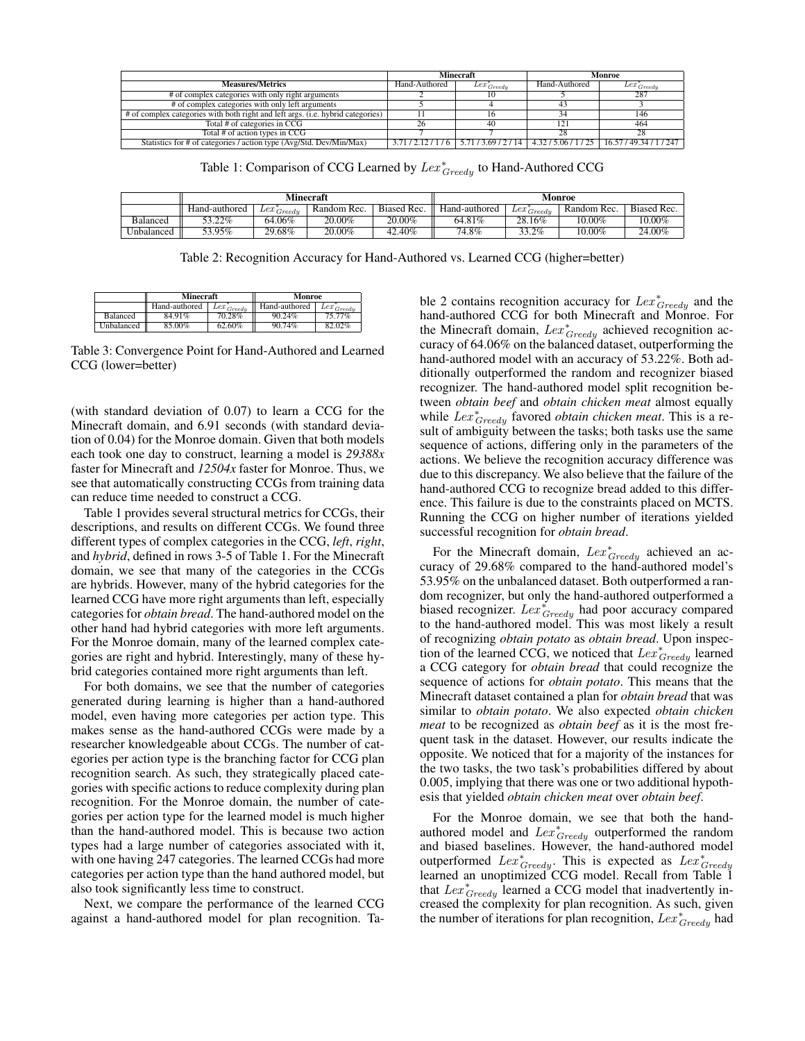|                                                                                 | <b>Minecraft</b> |                                | Monroe        |                                                |
|---------------------------------------------------------------------------------|------------------|--------------------------------|---------------|------------------------------------------------|
| <b>Measures/Metrics</b>                                                         | Hand-Authored    | $Lex^{\pi}_{Greedy}$           | Hand-Authored | $Lex^*_{Greedy}$                               |
| # of complex categories with only right arguments                               |                  |                                |               | 287                                            |
| # of complex categories with only left arguments                                |                  |                                |               |                                                |
| # of complex categories with both right and left args. (i.e. hybrid categories) |                  |                                |               | 146                                            |
| Total # of categories in CCG                                                    | 26               |                                |               | 464                                            |
| Total # of action types in CCG                                                  |                  |                                | 28            | 28                                             |
| Statistics for # of categories / action type (Avg/Std. Dev/Min/Max)             |                  | $3.71/2.12/1/6$ 5.71/3.69/2/14 |               | 4.32 / 5.06 / 1 / 25   16.57 / 49.34 / 1 / 247 |

Table 1: Comparison of CCG Learned by  $Lex^*_{Greedy}$  to Hand-Authored CCG

|                 | Minecraft     |                          |             |             | Monroe        |                          |             |             |
|-----------------|---------------|--------------------------|-------------|-------------|---------------|--------------------------|-------------|-------------|
|                 | Hand-authored | $\sim$ + Lex $_{Greedy}$ | Random Rec. | Biased Rec. | Hand-authored | $\sim$ + Lex $_{Greedy}$ | Random Rec. | Biased Rec. |
| <b>Balanced</b> | 53.22%        | 64.06%                   | 20.00%      | 20.00%      | 64.81%        | 28.16%                   | 10.00%      | 10.00%      |
| Unbalanced      | 53.95%        | $29.68\%$                | $20.00\%$   | 42.40%      | 74.8%         | 33.2%                    | $10.00\%$   | 24.00%      |

Table 2: Recognition Accuracy for Hand-Authored vs. Learned CCG (higher=better)

|               | Minecraft |                            | Monroe        |                    |  |
|---------------|-----------|----------------------------|---------------|--------------------|--|
| Hand-authored |           | $+$ + $Lex_{Greedy}$ = $+$ | Hand-authored | $-$ Lex $_{Greed}$ |  |
| Balanced      | 84.91%    | 70.28%                     | 90.24%        | 75.77%             |  |
| Unbalanced    | 85.00%    | 62.60%                     | 90.74%        | 82.02%             |  |

Table 3: Convergence Point for Hand-Authored and Learned CCG (lower=better)

(with standard deviation of 0.07) to learn a CCG for the Minecraft domain, and 6.91 seconds (with standard deviation of 0.04) for the Monroe domain. Given that both models each took one day to construct, learning a model is *29388x* faster for Minecraft and *12504x* faster for Monroe. Thus, we see that automatically constructing CCGs from training data can reduce time needed to construct a CCG.

Table 1 provides several structural metrics for CCGs, their descriptions, and results on different CCGs. We found three different types of complex categories in the CCG, *left*, *right*, and *hybrid*, defined in rows 3-5 of Table 1. For the Minecraft domain, we see that many of the categories in the CCGs are hybrids. However, many of the hybrid categories for the learned CCG have more right arguments than left, especially categories for *obtain bread*. The hand-authored model on the other hand had hybrid categories with more left arguments. For the Monroe domain, many of the learned complex categories are right and hybrid. Interestingly, many of these hybrid categories contained more right arguments than left.

For both domains, we see that the number of categories generated during learning is higher than a hand-authored model, even having more categories per action type. This makes sense as the hand-authored CCGs were made by a researcher knowledgeable about CCGs. The number of categories per action type is the branching factor for CCG plan recognition search. As such, they strategically placed categories with specific actions to reduce complexity during plan recognition. For the Monroe domain, the number of categories per action type for the learned model is much higher than the hand-authored model. This is because two action types had a large number of categories associated with it, with one having 247 categories. The learned CCGs had more categories per action type than the hand authored model, but also took significantly less time to construct.

Next, we compare the performance of the learned CCG against a hand-authored model for plan recognition. Ta-

ble 2 contains recognition accuracy for  $Lex^*_{Greedy}$  and the hand-authored CCG for both Minecraft and Monroe. For the Minecraft domain,  $Lex_{Greedy}^*$  achieved recognition accuracy of 64.06% on the balanced dataset, outperforming the hand-authored model with an accuracy of 53.22%. Both additionally outperformed the random and recognizer biased recognizer. The hand-authored model split recognition between *obtain beef* and *obtain chicken meat* almost equally while  $Lex_{Greedy}^*$  favored *obtain chicken meat*. This is a result of ambiguity between the tasks; both tasks use the same sequence of actions, differing only in the parameters of the actions. We believe the recognition accuracy difference was due to this discrepancy. We also believe that the failure of the hand-authored CCG to recognize bread added to this difference. This failure is due to the constraints placed on MCTS. Running the CCG on higher number of iterations yielded successful recognition for *obtain bread*.

For the Minecraft domain,  $Lex^*_{Greedy}$  achieved an accuracy of 29.68% compared to the hand-authored model's 53.95% on the unbalanced dataset. Both outperformed a random recognizer, but only the hand-authored outperformed a biased recognizer.  $Lex^{\star}_{Greedy}$  had poor accuracy compared to the hand-authored model. This was most likely a result of recognizing *obtain potato* as *obtain bread*. Upon inspection of the learned CCG, we noticed that  $Lex^*_{Greedy}$  learned a CCG category for *obtain bread* that could recognize the sequence of actions for *obtain potato*. This means that the Minecraft dataset contained a plan for *obtain bread* that was similar to *obtain potato*. We also expected *obtain chicken meat* to be recognized as *obtain beef* as it is the most frequent task in the dataset. However, our results indicate the opposite. We noticed that for a majority of the instances for the two tasks, the two task's probabilities differed by about 0.005, implying that there was one or two additional hypothesis that yielded *obtain chicken meat* over *obtain beef*.

For the Monroe domain, we see that both the handauthored model and  $Lex_{Greedy}^*$  outperformed the random and biased baselines. However, the hand-authored model outperformed  $Lex_{Greedy}^*$ . This is expected as  $Lex_{Greedy}^*$  learned an unoptimized CCG model. Recall from Table 1 that  $Lex_{Greedy}^*$  learned a CCG model that inadvertently increased the complexity for plan recognition. As such, given the number of iterations for plan recognition,  $Lex^*_{Greedy}$  had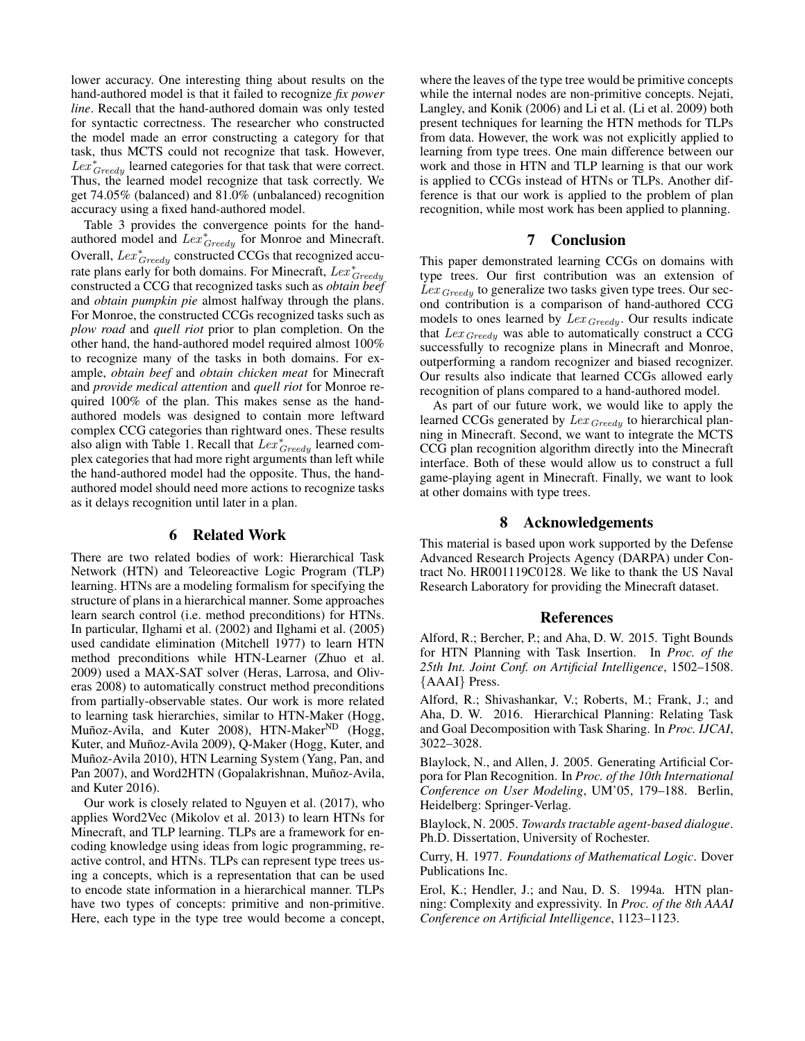lower accuracy. One interesting thing about results on the hand-authored model is that it failed to recognize *fix power line*. Recall that the hand-authored domain was only tested for syntactic correctness. The researcher who constructed the model made an error constructing a category for that task, thus MCTS could not recognize that task. However,  $Lex^*_{Greedy}$  learned categories for that task that were correct. Thus, the learned model recognize that task correctly. We get 74.05% (balanced) and 81.0% (unbalanced) recognition accuracy using a fixed hand-authored model.

Table 3 provides the convergence points for the handauthored model and  $Lex_{Greedy}^*$  for Monroe and Minecraft. Overall,  $Lex^*_{Greedy}$  constructed CCGs that recognized accurate plans early for both domains. For Minecraft,  $Lex_{Greedy}^*$ constructed a CCG that recognized tasks such as *obtain beef* and *obtain pumpkin pie* almost halfway through the plans. For Monroe, the constructed CCGs recognized tasks such as *plow road* and *quell riot* prior to plan completion. On the other hand, the hand-authored model required almost 100% to recognize many of the tasks in both domains. For example, *obtain beef* and *obtain chicken meat* for Minecraft and *provide medical attention* and *quell riot* for Monroe required 100% of the plan. This makes sense as the handauthored models was designed to contain more leftward complex CCG categories than rightward ones. These results also align with Table 1. Recall that  $Lex^*_{Greedy}$  learned complex categories that had more right arguments than left while the hand-authored model had the opposite. Thus, the handauthored model should need more actions to recognize tasks as it delays recognition until later in a plan.

# 6 Related Work

There are two related bodies of work: Hierarchical Task Network (HTN) and Teleoreactive Logic Program (TLP) learning. HTNs are a modeling formalism for specifying the structure of plans in a hierarchical manner. Some approaches learn search control (i.e. method preconditions) for HTNs. In particular, Ilghami et al. (2002) and Ilghami et al. (2005) used candidate elimination (Mitchell 1977) to learn HTN method preconditions while HTN-Learner (Zhuo et al. 2009) used a MAX-SAT solver (Heras, Larrosa, and Oliveras 2008) to automatically construct method preconditions from partially-observable states. Our work is more related to learning task hierarchies, similar to HTN-Maker (Hogg, Muñoz-Avila, and Kuter 2008), HTN-Maker<sup>ND</sup> (Hogg, Kuter, and Muñoz-Avila 2009), Q-Maker (Hogg, Kuter, and Muñoz-Avila 2010), HTN Learning System (Yang, Pan, and Pan 2007), and Word2HTN (Gopalakrishnan, Muñoz-Avila, and Kuter 2016).

Our work is closely related to Nguyen et al. (2017), who applies Word2Vec (Mikolov et al. 2013) to learn HTNs for Minecraft, and TLP learning. TLPs are a framework for encoding knowledge using ideas from logic programming, reactive control, and HTNs. TLPs can represent type trees using a concepts, which is a representation that can be used to encode state information in a hierarchical manner. TLPs have two types of concepts: primitive and non-primitive. Here, each type in the type tree would become a concept,

where the leaves of the type tree would be primitive concepts while the internal nodes are non-primitive concepts. Nejati, Langley, and Konik (2006) and Li et al. (Li et al. 2009) both present techniques for learning the HTN methods for TLPs from data. However, the work was not explicitly applied to learning from type trees. One main difference between our work and those in HTN and TLP learning is that our work is applied to CCGs instead of HTNs or TLPs. Another difference is that our work is applied to the problem of plan recognition, while most work has been applied to planning.

# 7 Conclusion

This paper demonstrated learning CCGs on domains with type trees. Our first contribution was an extension of  $Lex_{Greedy}$  to generalize two tasks given type trees. Our second contribution is a comparison of hand-authored CCG models to ones learned by  $Lex_{Greedy}$ . Our results indicate that  $Lex_{Greedy}$  was able to automatically construct a CCG successfully to recognize plans in Minecraft and Monroe, outperforming a random recognizer and biased recognizer. Our results also indicate that learned CCGs allowed early recognition of plans compared to a hand-authored model.

As part of our future work, we would like to apply the learned CCGs generated by  $Lex_{Greedy}$  to hierarchical planning in Minecraft. Second, we want to integrate the MCTS CCG plan recognition algorithm directly into the Minecraft interface. Both of these would allow us to construct a full game-playing agent in Minecraft. Finally, we want to look at other domains with type trees.

#### 8 Acknowledgements

This material is based upon work supported by the Defense Advanced Research Projects Agency (DARPA) under Contract No. HR001119C0128. We like to thank the US Naval Research Laboratory for providing the Minecraft dataset.

#### References

Alford, R.; Bercher, P.; and Aha, D. W. 2015. Tight Bounds for HTN Planning with Task Insertion. In *Proc. of the 25th Int. Joint Conf. on Artificial Intelligence*, 1502–1508. {AAAI} Press.

Alford, R.; Shivashankar, V.; Roberts, M.; Frank, J.; and Aha, D. W. 2016. Hierarchical Planning: Relating Task and Goal Decomposition with Task Sharing. In *Proc. IJCAI*, 3022–3028.

Blaylock, N., and Allen, J. 2005. Generating Artificial Corpora for Plan Recognition. In *Proc. of the 10th International Conference on User Modeling*, UM'05, 179–188. Berlin, Heidelberg: Springer-Verlag.

Blaylock, N. 2005. *Towards tractable agent-based dialogue*. Ph.D. Dissertation, University of Rochester.

Curry, H. 1977. *Foundations of Mathematical Logic*. Dover Publications Inc.

Erol, K.; Hendler, J.; and Nau, D. S. 1994a. HTN planning: Complexity and expressivity. In *Proc. of the 8th AAAI Conference on Artificial Intelligence*, 1123–1123.